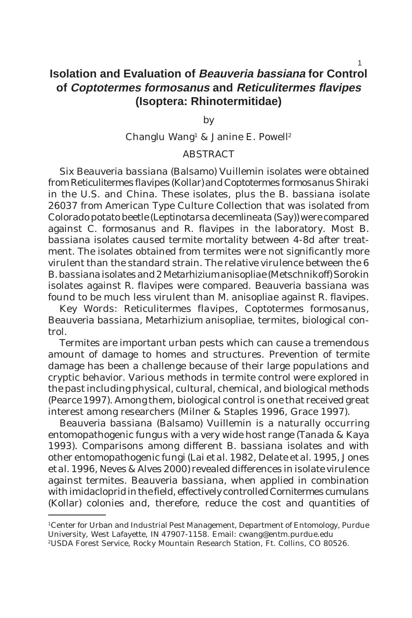# **Isolation and Evaluation of Beauveria bassiana for Control of Coptotermes formosanus and Reticulitermes flavipes (Isoptera: Rhinotermitidae)**

by

Changlu Wang<sup>1</sup> & Janine E. Powell<sup>2</sup>

## **ABSTRACT**

Six *Beauveria bassiana* (Balsamo) Vuillemin isolates were obtained from *Reticulitermes flavipes* (Kollar) and *Coptotermes formosanus* Shiraki in the U.S. and China. These isolates, plus the *B. bassiana* isolate 26037 from American Type Culture Collection that was isolated from Colorado potato beetle (*Leptinotarsa decemlineata* (Say)) were compared against *C. formosanus* and *R. flavipes* in the laboratory. Most *B. bassiana* isolates caused termite mortality between 4-8d after treatment. The isolates obtained from termites were not significantly more virulent than the standard strain. The relative virulence between the 6 *B. bassiana* isolates and 2 *Metarhiziumanisopliae* (Metschnikoff) Sorokin isolates against *R. flavipes* were compared. *Beauveria bassiana* was found to be much less virulent than *M. anisopliae* against *R. flavipes*.

Key Words: *Reticulitermes flavipes*, *Coptotermes formosanus, Beauveria bassiana, Metarhizium anisopliae*, termites, biological control.

Termites are important urban pests which can cause a tremendous amount of damage to homes and structures. Prevention of termite damage has been a challenge because of their large populations and cryptic behavior. Various methods in termite control were explored in the past including physical, cultural, chemical, and biological methods (Pearce 1997). Among them, biological control is one that received great interest among researchers (Milner & Staples 1996, Grace 1997).

*Beauveria bassiana* (Balsamo) Vuillemin is a naturally occurring entomopathogenic fungus with a very wide host range (Tanada & Kaya 1993). Comparisons among different *B. bassiana* isolates and with other entomopathogenic fungi (Lai *et al.* 1982, Delate *et al.* 1995, Jones *et al.* 1996, Neves & Alves 2000) revealed differences in isolate virulence against termites. *Beauveria bassiana*, when applied in combination with imidacloprid in the field, effectively controlled *Cornitermes cumulans* (Kollar) colonies and, therefore, reduce the cost and quantities of

<sup>1</sup>Center for Urban and Industrial Pest Management, Department of Entomology, Purdue University, West Lafayette, IN 47907-1158. Email: cwang@entm.purdue.edu

<sup>2</sup>USDA Forest Service, Rocky Mountain Research Station, Ft. Collins, CO 80526.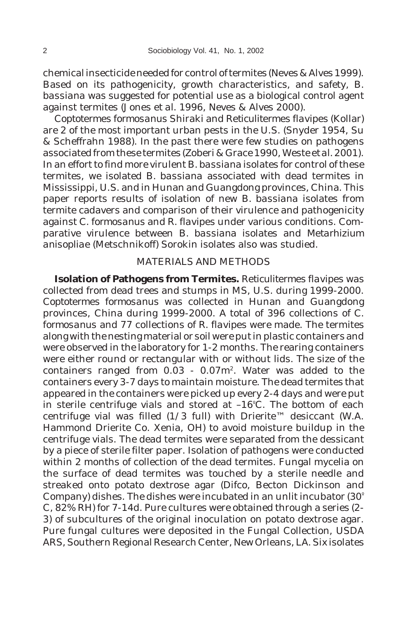chemical insecticide needed for control of termites (Neves & Alves 1999). Based on its pathogenicity, growth characteristics, and safety, *B. bassiana* was suggested for potential use as a biological control agent against termites (Jones *et al.* 1996, Neves & Alves 2000).

*Coptotermes formosanus* Shiraki and *Reticulitermes flavipes* (Kollar) are 2 of the most important urban pests in the U.S. (Snyder 1954, Su & Scheffrahn 1988). In the past there were few studies on pathogens associated from these termites (Zoberi & Grace 1990, Weste *et al.* 2001). In an effort to find more virulent *B. bassiana* isolates for control of these termites, we isolated *B. bassiana* associated with dead termites in Mississippi, U.S. and in Hunan and Guangdong provinces, China. This paper reports results of isolation of new *B. bassiana* isolates from termite cadavers and comparison of their virulence and pathogenicity against *C. formosanus* and *R. flavipes* under various conditions. Comparative virulence between *B. bassiana* isolates and *Metarhizium anisopliae* (Metschnikoff) Sorokin isolates also was studied.

### MATERIALS AND METHODS

**Isolation of Pathogens from Termites.** *Reticulitermes flavipes* was collected from dead trees and stumps in MS, U.S. during 1999-2000. *Coptotermes formosanus* was collected in Hunan and Guangdong provinces, China during 1999-2000. A total of 396 collections of *C. formosanus* and 77 collections of *R. flavipes* were made. The termites along with the nesting material or soil were put in plastic containers and were observed in the laboratory for 1-2 months. The rearing containers were either round or rectangular with or without lids. The size of the containers ranged from 0.03 - 0.07m2. Water was added to the containers every 3-7 days to maintain moisture. The dead termites that appeared in the containers were picked up every 2-4 days and were put in sterile centrifuge vials and stored at –16º C. The bottom of each centrifuge vial was filled (1/3 full) with Drierite™ desiccant (W.A. Hammond Drierite Co. Xenia, OH) to avoid moisture buildup in the centrifuge vials. The dead termites were separated from the dessicant by a piece of sterile filter paper. Isolation of pathogens were conducted within 2 months of collection of the dead termites. Fungal mycelia on the surface of dead termites was touched by a sterile needle and streaked onto potato dextrose agar (Difco, Becton Dickinson and Company) dishes. The dishes were incubated in an unlit incubator (30º C, 82% RH) for 7-14d. Pure cultures were obtained through a series (2- 3) of subcultures of the original inoculation on potato dextrose agar. Pure fungal cultures were deposited in the Fungal Collection, USDA ARS, Southern Regional Research Center, New Orleans, LA. Six isolates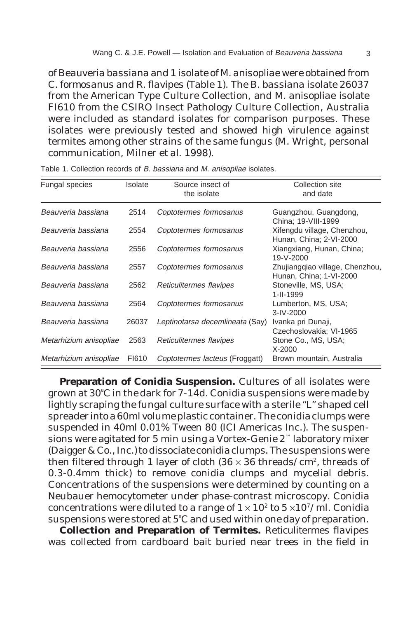of *Beauveria bassiana* and 1 isolate of *M. anisopliae* were obtained from *C. formosanus* and *R. flavipes* (Table 1). The *B. bassiana* isolate 26037 from the American Type Culture Collection, and *M. anisopliae* isolate FI610 from the CSIRO Insect Pathology Culture Collection, Australia were included as standard isolates for comparison purposes. These isolates were previously tested and showed high virulence against termites among other strains of the same fungus (M. Wright, personal communication, Milner *et al.* 1998).

| Fungal species         | Isolate | Source insect of<br>the isolate | Collection site<br>and date                                |  |
|------------------------|---------|---------------------------------|------------------------------------------------------------|--|
| Beauveria bassiana     | 2514    | Coptotermes formosanus          | Guangzhou, Guangdong,<br>China; 19-VIII-1999               |  |
| Beauveria bassiana     | 2554    | Coptotermes formosanus          | Xifengdu village, Chenzhou,<br>Hunan, China; 2-VI-2000     |  |
| Beauveria bassiana     | 2556    | Coptotermes formosanus          | Xiangxiang, Hunan, China;<br>19-V-2000                     |  |
| Beauveria bassiana     | 2557    | Coptotermes formosanus          | Zhujiangqiao village, Chenzhou,<br>Hunan, China; 1-VI-2000 |  |
| Beauveria bassiana     | 2562    | Reticulitermes flavipes         | Stoneville, MS, USA;<br>$1 - 11 - 1999$                    |  |
| Beauveria bassiana     | 2564    | Coptotermes formosanus          | Lumberton, MS, USA;<br>$3 - IV - 2000$                     |  |
| Beauveria bassiana     | 26037   | Leptinotarsa decemlineata (Say) | Ivanka pri Dunaji,<br>Czechoslovakia; VI-1965              |  |
| Metarhizium anisopliae | 2563    | Reticulitermes flavipes         | Stone Co., MS, USA;<br>$X-2000$                            |  |
| Metarhizium anisopliae | FI610   | Coptotermes lacteus (Froggatt)  | Brown mountain, Australia                                  |  |

Table 1. Collection records of B. bassiana and M. anisopliae isolates.

**Preparation of Conidia Suspension.** Cultures of all isolates were grown at 30º C in the dark for 7-14d. Conidia suspensions were made by lightly scraping the fungal culture surface with a sterile "L" shaped cell spreader into a 60ml volume plastic container. The conidia clumps were suspended in 40ml 0.01% Tween 80 (ICI Americas Inc.). The suspensions were agitated for 5 min using a Vortex-Genie 2™ laboratory mixer (Daigger & Co., Inc.) to dissociate conidia clumps. The suspensions were then filtered through 1 layer of cloth  $(36 \times 36 \text{ threads}/\text{cm}^2, \text{threads of})$ 0.3-0.4mm thick) to remove conidia clumps and mycelial debris. Concentrations of the suspensions were determined by counting on a Neubauer hemocytometer under phase-contrast microscopy. Conidia concentrations were diluted to a range of  $1 \times 10^2$  to  $5 \times 10^7$ /ml. Conidia suspensions were stored at 5º C and used within one day of preparation.

**Collection and Preparation of Termites.** *Reticulitermes flavipes* was collected from cardboard bait buried near trees in the field in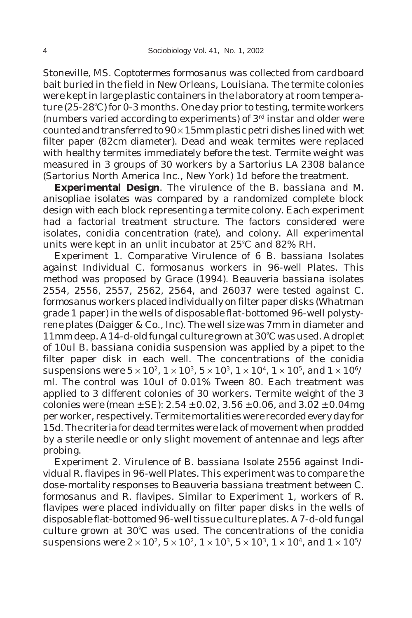Stoneville, MS. *Coptotermes formosanus* was collected from cardboard bait buried in the field in New Orleans, Louisiana. The termite colonies were kept in large plastic containers in the laboratory at room temperature (25-28º C) for 0-3 months. One day prior to testing, termite workers (numbers varied according to experiments) of  $3<sup>rd</sup>$  instar and older were counted and transferred to  $90 \times 15$  mm plastic petri dishes lined with wet filter paper (82cm diameter). Dead and weak termites were replaced with healthy termites immediately before the test. Termite weight was measured in 3 groups of 30 workers by a Sartorius LA 2308 balance (Sartorius North America Inc., New York) 1d before the treatment.

**Experimental Design**. The virulence of the *B. bassiana* and *M. anisopliae* isolates was compared by a randomized complete block design with each block representing a termite colony. Each experiment had a factorial treatment structure. The factors considered were isolates, conidia concentration (rate), and colony. All experimental units were kept in an unlit incubator at 25º C and 82% RH.

Experiment 1. Comparative Virulence of 6 *B. bassiana* Isolates against Individual *C. formosanus* workers in 96-well Plates. This method was proposed by Grace (1994). *Beauveria bassiana* isolates 2554, 2556, 2557, 2562, 2564, and 26037 were tested against *C. formosanus* workers placed individually on filter paper disks (Whatman grade 1 paper) in the wells of disposable flat-bottomed 96-well polystyrene plates (Daigger & Co., Inc). The well size was 7mm in diameter and 11mm deep. A 14-d-old fungal culture grown at 30º C was used. A droplet of 10ul *B. bassiana* conidia suspension was applied by a pipet to the filter paper disk in each well. The concentrations of the conidia suspensions were  $5 \times 10^2$ ,  $1 \times 10^3$ ,  $5 \times 10^3$ ,  $1 \times 10^4$ ,  $1 \times 10^5$ , and  $1 \times 10^6$ / ml. The control was 10ul of 0.01% Tween 80. Each treatment was applied to 3 different colonies of 30 workers. Termite weight of the 3 colonies were (mean  $\pm$  SE): 2.54  $\pm$  0.02, 3.56  $\pm$  0.06, and 3.02  $\pm$  0.04mg per worker, respectively. Termite mortalities were recorded every day for 15d. The criteria for dead termites were lack of movement when prodded by a sterile needle or only slight movement of antennae and legs after probing.

Experiment 2. Virulence of *B. bassiana* Isolate 2556 against Individual *R. flavipes* in 96-well Plates. This experiment was to compare the dose-mortality responses to *Beauveria bassiana* treatment between *C. formosanus* and *R. flavipes*. Similar to Experiment 1, workers of *R. flavipes* were placed individually on filter paper disks in the wells of disposable flat-bottomed 96-well tissue culture plates. A 7-d-old fungal culture grown at 30º C was used. The concentrations of the conidia suspensions were  $2\times10^2,\,5\times10^2,\,1\times10^3,\,5\times10^3,\,1\times10^4,$  and  $1\times10^5/$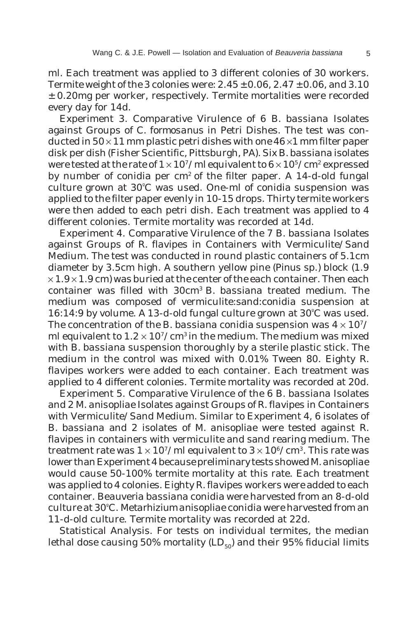ml. Each treatment was applied to 3 different colonies of 30 workers. Termite weight of the 3 colonies were:  $2.45 \pm 0.06$ ,  $2.47 \pm 0.06$ , and 3.10 ± 0.20mg per worker, respectively. Termite mortalities were recorded every day for 14d.

Experiment 3. Comparative Virulence of 6 *B. bassiana* Isolates against Groups of *C. formosanus* in Petri Dishes. The test was conducted in  $50 \times 11$  mm plastic petri dishes with one  $46 \times 1$  mm filter paper disk per dish (Fisher Scientific, Pittsburgh, PA). Six *B. bassiana* isolates were tested at the rate of  $1 \times 10^7$ /ml equivalent to  $6 \times 10^5$ /cm<sup>2</sup> expressed by number of conidia per cm<sup>2</sup> of the filter paper. A 14-d-old fungal culture grown at 30º C was used. One-ml of conidia suspension was applied to the filter paper evenly in 10-15 drops. Thirty termite workers were then added to each petri dish. Each treatment was applied to 4 different colonies. Termite mortality was recorded at 14d.

Experiment 4. Comparative Virulence of the 7 *B. bassiana* Isolates against Groups of *R. flavipes* in Containers with Vermiculite/Sand Medium. The test was conducted in round plastic containers of 5.1cm diameter by 3.5cm high. A southern yellow pine (*Pinus* sp.) block (1.9  $\times$  1.9  $\times$  1.9 cm) was buried at the center of the each container. Then each container was filled with 30cm3 *B. bassiana* treated medium. The medium was composed of vermiculite:sand:conidia suspension at 16:14:9 by volume. A 13-d-old fungal culture grown at 30º C was used. The concentration of the *B. bassiana* conidia suspension was  $4 \times 10^{7}$ / ml equivalent to  $1.2 \times 10^{7}/\text{cm}^3$  in the medium. The medium was mixed with *B. bassiana* suspension thoroughly by a sterile plastic stick. The medium in the control was mixed with 0.01% Tween 80. Eighty *R. flavipes* workers were added to each container. Each treatment was applied to 4 different colonies. Termite mortality was recorded at 20d.

Experiment 5. Comparative Virulence of the 6 *B. bassiana* Isolates and 2 *M. anisopliae* Isolates against Groups of *R. flavipes* in Containers with Vermiculite/Sand Medium. Similar to Experiment 4, 6 isolates of *B. bassiana* and 2 isolates of *M. anisopliae* were tested against *R. flavipes* in containers with vermiculite and sand rearing medium. The treatment rate was  $1 \times 10^7$ /ml equivalent to  $3 \times 10^6$ /cm<sup>3</sup>. This rate was lower than Experiment 4 because preliminary tests showed *M. anisopliae* would cause 50-100% termite mortality at this rate. Each treatment was applied to 4 colonies. Eighty *R. flavipes* workers were added to each container. *Beauveria bassiana* conidia were harvested from an 8-d-old culture at 30º C. *Metarhizium anisopliae* conidia were harvested from an 11-d-old culture. Termite mortality was recorded at 22d.

Statistical Analysis. For tests on individual termites, the median lethal dose causing 50% mortality  $(LD_{50})$  and their 95% fiducial limits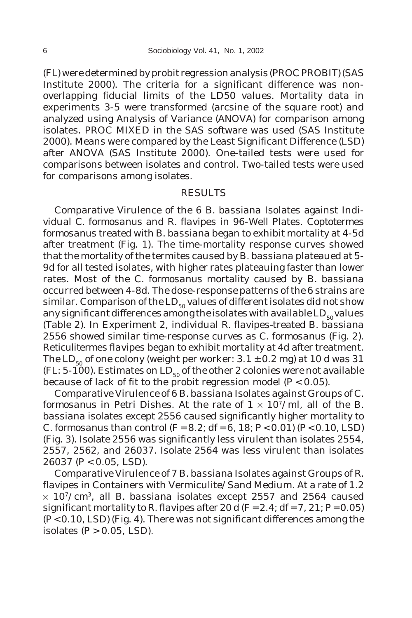(FL) were determined by probit regression analysis (PROC PROBIT) (SAS Institute 2000). The criteria for a significant difference was nonoverlapping fiducial limits of the LD50 values. Mortality data in experiments 3-5 were transformed (arcsine of the square root) and analyzed using Analysis of Variance (ANOVA) for comparison among isolates. PROC MIXED in the SAS software was used (SAS Institute 2000). Means were compared by the Least Significant Difference (LSD) after ANOVA (SAS Institute 2000). One-tailed tests were used for comparisons between isolates and control. Two-tailed tests were used for comparisons among isolates.

#### RESULTS

Comparative Virulence of the 6 *B. bassiana* Isolates against Individual *C. formosanus* and *R. flavipes* in 96-Well Plates. *Coptotermes formosanus* treated with *B. bassiana* began to exhibit mortality at 4-5d after treatment (Fig. 1). The time-mortality response curves showed that the mortality of the termites caused by *B. bassiana* plateaued at 5- 9d for all tested isolates, with higher rates plateauing faster than lower rates. Most of the *C. formosanus* mortality caused by *B. bassiana* occurred between 4-8d. The dose-response patterns of the 6 strains are similar. Comparison of the LD $_{50}$  values of different isolates did not show any significant differences among the isolates with available  $LD_{50}$  values (Table 2). In Experiment 2, individual *R. flavipes-*treated *B. bassiana* 2556 showed similar time-response curves as *C. formosanus* (Fig. 2). *Reticulitermes flavipes* began to exhibit mortality at 4d after treatment. The LD<sub>50</sub> of one colony (weight per worker:  $3.1 \pm 0.2$  mg) at 10 d was 31 (FL: 5-100). Estimates on LD<sub>50</sub> of the other 2 colonies were not available because of lack of fit to the probit regression model (*P* < 0.05).

Comparative Virulence of 6 *B. bassiana* Isolates against Groups of *C. formosanus* in Petri Dishes. At the rate of  $1 \times 10^7$ /ml, all of the *B*. *bassiana* isolates except 2556 caused significantly higher mortality to *C. formosanus* than control (*F* = 8.2; df = 6, 18; *P* < 0.01) (*P* < 0.10, LSD) (Fig. 3). Isolate 2556 was significantly less virulent than isolates 2554, 2557, 2562, and 26037. Isolate 2564 was less virulent than isolates 26037 (*P* < 0.05, LSD).

Comparative Virulence of 7 *B. bassiana* Isolates against Groups of *R. flavipes* in Containers with Vermiculite/Sand Medium. At a rate of 1.2 × 107/cm3, all *B. bassiana* isolates except 2557 and 2564 caused significant mortality to *R. flavipes* after 20 d ( $F = 2.4$ ; df = 7, 21;  $P = 0.05$ ) (*P* < 0.10, LSD) (Fig. 4). There was not significant differences among the isolates (*P* > 0.05, LSD).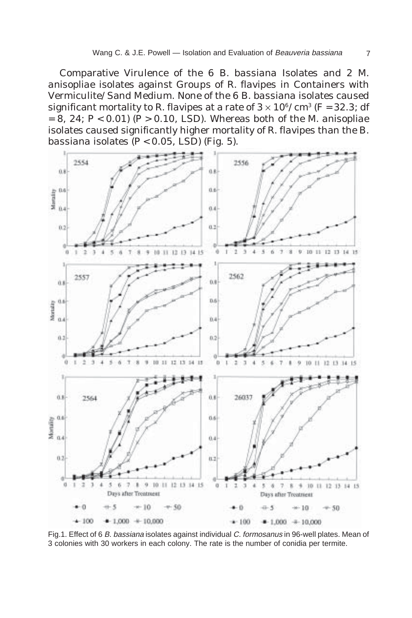Comparative Virulence of the 6 *B. bassiana* Isolates and 2 *M. anisopliae* isolates against Groups of *R. flavipes* in Containers with Vermiculite/Sand Medium. None of the 6 *B. bassiana* isolates caused significant mortality to *R. flavipes* at a rate of  $3 \times 10^6 / \text{cm}^3$  (*F* = 32.3; df = 8, 24; *P* < 0.01) (*P* > 0.10, LSD). Whereas both of the *M. anisopliae* isolates caused significantly higher mortality of *R. flavipes* than the *B. bassiana* isolates (*P* < 0.05, LSD) (Fig. 5).



Fig.1. Effect of 6 B. bassiana isolates against individual C. formosanus in 96-well plates. Mean of 3 colonies with 30 workers in each colony. The rate is the number of conidia per termite.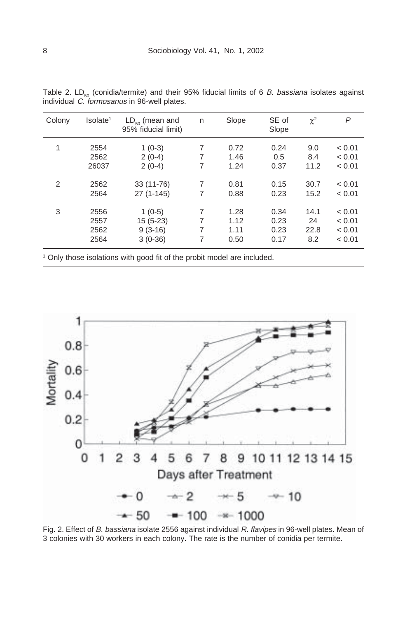| Colony         | Isolate <sup>1</sup> | $LD_{\epsilon_0}$ (mean and<br>95% fiducial limit) | n | Slope | SE of<br>Slope | $\chi^2$ | P      |
|----------------|----------------------|----------------------------------------------------|---|-------|----------------|----------|--------|
| 1              | 2554                 | $1(0-3)$                                           | 7 | 0.72  | 0.24           | 9.0      | < 0.01 |
|                | 2562                 | $2(0-4)$                                           | 7 | 1.46  | 0.5            | 8.4      | < 0.01 |
|                | 26037                | $2(0-4)$                                           | 7 | 1.24  | 0.37           | 11.2     | < 0.01 |
| $\overline{2}$ | 2562                 | 33 (11-76)                                         | 7 | 0.81  | 0.15           | 30.7     | < 0.01 |
|                | 2564                 | 27 (1-145)                                         | 7 | 0.88  | 0.23           | 15.2     | < 0.01 |
| 3              | 2556                 | $1(0-5)$                                           | 7 | 1.28  | 0.34           | 14.1     | < 0.01 |
|                | 2557                 | $15(5-23)$                                         | 7 | 1.12  | 0.23           | 24       | < 0.01 |
|                | 2562                 | $9(3-16)$                                          | 7 | 1.11  | 0.23           | 22.8     | < 0.01 |
|                | 2564                 | $3(0-36)$                                          | 7 | 0.50  | 0.17           | 8.2      | < 0.01 |

Table 2. LD<sub>50</sub> (conidia/termite) and their 95% fiducial limits of 6 B. bassiana isolates against individual C. formosanus in 96-well plates.

Only those isolations with good fit of the probit model are included.



Fig. 2. Effect of B. bassiana isolate 2556 against individual R. flavipes in 96-well plates. Mean of 3 colonies with 30 workers in each colony. The rate is the number of conidia per termite.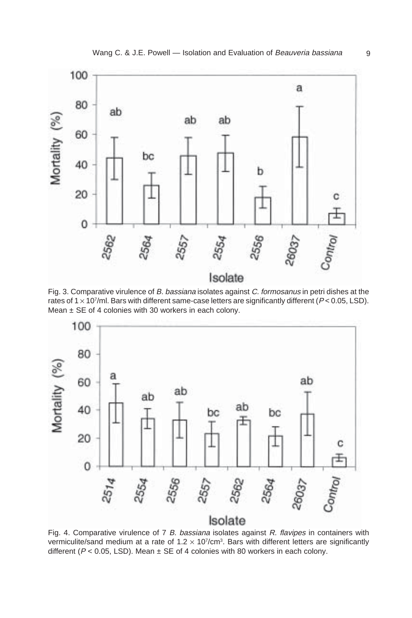

Fig. 3. Comparative virulence of B. bassiana isolates against C. formosanus in petri dishes at the rates of  $1 \times 10^7$ /ml. Bars with different same-case letters are significantly different ( $P < 0.05$ , LSD). Mean  $\pm$  SE of 4 colonies with 30 workers in each colony.



Fig. 4. Comparative virulence of 7 B. bassiana isolates against R. flavipes in containers with vermiculite/sand medium at a rate of 1.2  $\times$  107/cm<sup>3</sup>. Bars with different letters are significantly different ( $P < 0.05$ , LSD). Mean  $\pm$  SE of 4 colonies with 80 workers in each colony.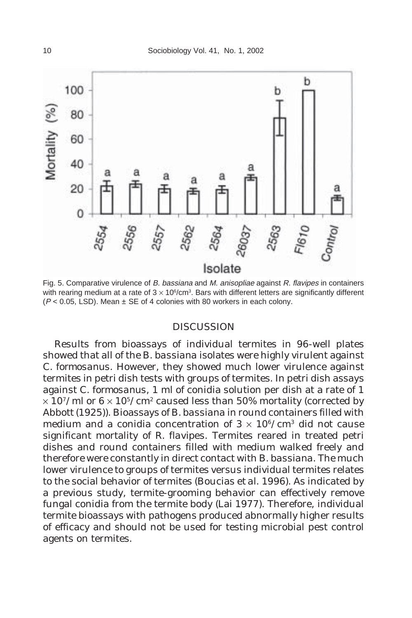

Fig. 5. Comparative virulence of B. bassiana and M. anisopliae against R. flavipes in containers with rearing medium at a rate of  $3 \times 10^6$ /cm<sup>3</sup>. Bars with different letters are significantly different  $(P < 0.05$ , LSD). Mean  $\pm$  SE of 4 colonies with 80 workers in each colony.

#### DISCUSSION

Results from bioassays of individual termites in 96-well plates showed that all of the *B. bassiana* isolates were highly virulent against *C. formosanus*. However, they showed much lower virulence against termites in petri dish tests with groups of termites. In petri dish assays against *C. formosanus*, 1 ml of conidia solution per dish at a rate of 1  $\times$  10<sup>7</sup>/ml or 6  $\times$  10<sup>5</sup>/cm<sup>2</sup> caused less than 50% mortality (corrected by Abbott (1925)). Bioassays of *B. bassiana* in round containers filled with medium and a conidia concentration of  $3 \times 10^6/\text{cm}^3$  did not cause significant mortality of *R. flavipes*. Termites reared in treated petri dishes and round containers filled with medium walked freely and therefore were constantly in direct contact with *B. bassiana*. The much lower virulence to groups of termites versus individual termites relates to the social behavior of termites (Boucias *et al.* 1996). As indicated by a previous study, termite-grooming behavior can effectively remove fungal conidia from the termite body (Lai 1977). Therefore, individual termite bioassays with pathogens produced abnormally higher results of efficacy and should not be used for testing microbial pest control agents on termites.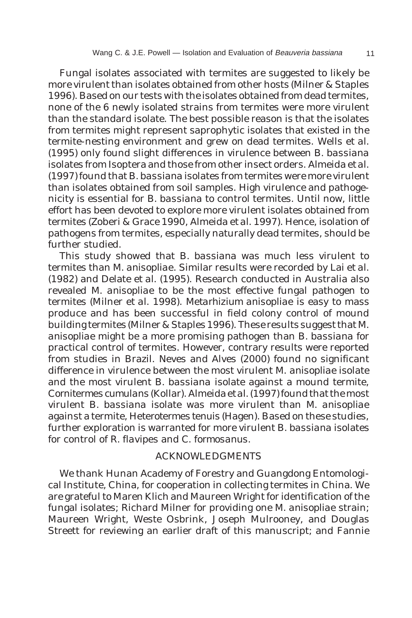Fungal isolates associated with termites are suggested to likely be more virulent than isolates obtained from other hosts (Milner & Staples 1996). Based on our tests with the isolates obtained from dead termites, none of the 6 newly isolated strains from termites were more virulent than the standard isolate. The best possible reason is that the isolates from termites might represent saprophytic isolates that existed in the termite-nesting environment and grew on dead termites. Wells *et al.* (1995) only found slight differences in virulence between *B. bassiana* isolates from Isoptera and those from other insect orders. Almeida *et al.* (1997) found that *B. bassiana* isolates from termites were more virulent than isolates obtained from soil samples. High virulence and pathogenicity is essential for *B. bassiana* to control termites. Until now, little effort has been devoted to explore more virulent isolates obtained from termites (Zoberi & Grace 1990, Almeida *et al.* 1997). Hence, isolation of pathogens from termites, especially naturally dead termites, should be further studied.

This study showed that *B. bassiana* was much less virulent to termites than *M. anisopliae*. Similar results were recorded by Lai *et al.* (1982) and Delate *et al.* (1995). Research conducted in Australia also revealed *M. anisopliae* to be the most effective fungal pathogen to termites (Milner *et al.* 1998). *Metarhizium anisopliae* is easy to mass produce and has been successful in field colony control of mound building termites (Milner & Staples 1996). These results suggest that *M. anisopliae* might be a more promising pathogen than *B. bassiana* for practical control of termites. However, contrary results were reported from studies in Brazil. Neves and Alves (2000) found no significant difference in virulence between the most virulent *M*. *anisopliae* isolate and the most virulent *B. bassiana* isolate against a mound termite, *Cornitermes cumulans* (Kollar). Almeida *et al.* (1997) found that the most virulent *B. bassiana* isolate was more virulent than *M. anisopliae* against a termite, *Heterotermes tenuis* (Hagen). Based on these studies, further exploration is warranted for more virulent *B. bassiana* isolates for control of *R. flavipes* and *C. formosanus*.

### ACKNOWLEDGMENTS

We thank Hunan Academy of Forestry and Guangdong Entomological Institute, China, for cooperation in collecting termites in China. We are grateful to Maren Klich and Maureen Wright for identification of the fungal isolates; Richard Milner for providing one *M. anisopliae* strain; Maureen Wright, Weste Osbrink, Joseph Mulrooney, and Douglas Streett for reviewing an earlier draft of this manuscript; and Fannie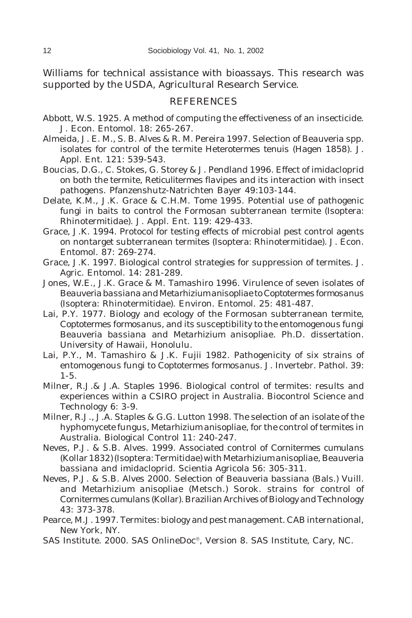Williams for technical assistance with bioassays. This research was supported by the USDA, Agricultural Research Service.

### REFERENCES

- Abbott, W.S. 1925. A method of computing the effectiveness of an insecticide. J. Econ. Entomol. 18: 265-267.
- Almeida, J. E. M., S. B. Alves & R. M. Pereira 1997. Selection of *Beauveria* spp. isolates for control of the termite *Heterotermes tenuis* (Hagen 1858). J. Appl. Ent. 121: 539-543.
- Boucias, D.G., C. Stokes, G. Storey & J. Pendland 1996. Effect of imidacloprid on both the termite, *Reticulitermes flavipes* and its interaction with insect pathogens. Pfanzenshutz-Natrichten Bayer 49:103-144.
- Delate, K.M., J.K. Grace & C.H.M. Tome 1995. Potential use of pathogenic fungi in baits to control the Formosan subterranean termite (Isoptera: Rhinotermitidae). J. Appl. Ent. 119: 429-433.
- Grace, J.K. 1994. Protocol for testing effects of microbial pest control agents on nontarget subterranean termites (Isoptera: Rhinotermitidae). J. Econ. Entomol. 87: 269-274.
- Grace, J.K. 1997. Biological control strategies for suppression of termites. J. Agric. Entomol. 14: 281-289.
- Jones, W.E., J.K. Grace & M. Tamashiro 1996. Virulence of seven isolates of *Beauveriabassiana* and *Metarhizium anisopliae* to *Coptotermes formosanus* (Isoptera: Rhinotermitidae). Environ. Entomol. 25: 481-487.
- Lai, P.Y. 1977. Biology and ecology of the Formosan subterranean termite, *Coptotermes formosanus,* and its susceptibility to the entomogenous fungi *Beauveria bassiana* and *Metarhizium anisopliae*. Ph.D. dissertation. University of Hawaii, Honolulu.
- Lai, P.Y., M. Tamashiro & J.K. Fujii 1982. Pathogenicity of six strains of entomogenous fungi to *Coptotermes formosanus*. J. Invertebr. Pathol. 39: 1-5.
- Milner, R.J.& J.A. Staples 1996. Biological control of termites: results and experiences within a CSIRO project in Australia. Biocontrol Science and Technology 6: 3-9.
- Milner, R.J., J.A. Staples & G.G. Lutton 1998. The selection of an isolate of the hyphomycete fungus, *Metarhizium anisopliae*, for the control of termites in Australia. Biological Control 11: 240-247.
- Neves, P.J. & S.B. Alves. 1999. Associated control of *Cornitermes cumulans* (Kollar 1832) (Isoptera: Termitidae) with *Metarhizium anisopliae*, *Beauveria bassiana* and imidacloprid. Scientia Agricola 56: 305-311.
- Neves, P.J. & S.B. Alves 2000. Selection of *Beauveria bassiana* (Bals.) Vuill. and *Metarhizium anisopliae* (Metsch.) Sorok. strains for control of *Cornitermes cumulans* (Kollar). Brazilian Archives of Biology and Technology 43: 373-378.
- Pearce, M.J. 1997. Termites: biology and pest management. CAB international, New York, NY.
- SAS Institute. 2000. SAS OnlineDoc®, Version 8. SAS Institute, Cary, NC.